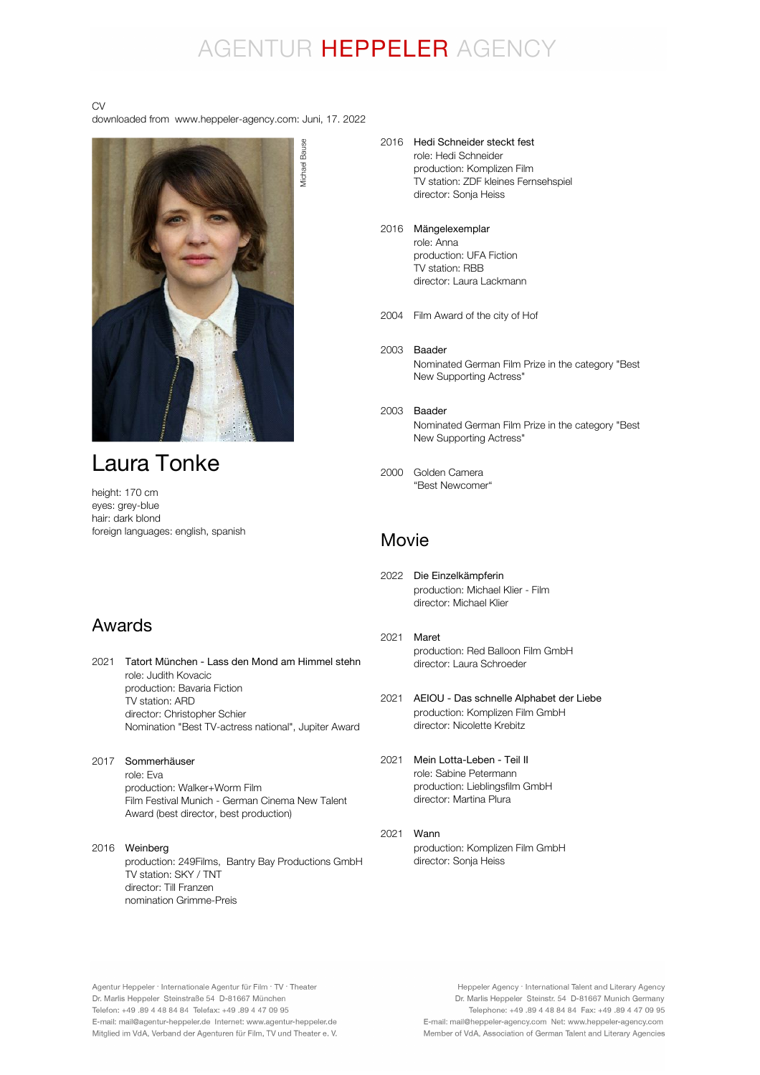## AGENTUR HEPPELER AGENCY

#### CV

downloaded from www.heppeler-agency.com: Juni, 17. 2022



## Laura Tonke

height: 170 cm eyes: grey-blue hair: dark blond foreign languages: english, spanish

## Awards

2021 Tatort München - Lass den Mond am Himmel stehn role: Judith Kovacic production: Bavaria Fiction TV station: ARD director: Christopher Schier Nomination "Best TV-actress national", Jupiter Award

- 2017 Sommerhäuser role: Eva production: Walker+Worm Film Film Festival Munich - German Cinema New Talent Award (best director, best production)
- 2016 Weinberg production: 249Films, Bantry Bay Productions GmbH TV station: SKY / TNT director: Till Franzen nomination Grimme-Preis
- 2016 Hedi Schneider steckt fest role: Hedi Schneider production: Komplizen Film TV station: ZDF kleines Fernsehspiel director: Sonja Heiss
- 2016 Mängelexemplar role: Anna production: UFA Fiction
	- TV station: RBB director: Laura Lackmann
- 2004 Film Award of the city of Hof
- 2003 Baader Nominated German Film Prize in the category "Best New Supporting Actress"
- 2003 Baader Nominated German Film Prize in the category "Best New Supporting Actress"
- 2000 Golden Camera "Best Newcomer"

### Movie

- 2022 Die Einzelkämpferin production: Michael Klier - Film director: Michael Klier
- 2021 Maret production: Red Balloon Film GmbH director: Laura Schroeder
- 2021 AEIOU Das schnelle Alphabet der Liebe production: Komplizen Film GmbH director: Nicolette Krebitz
- 2021 role: Sabine Petermann production: Lieblingsfilm GmbH director: Martina Plura Mein Lotta-Leben - Teil II
- 2021 Wannproduction: Komplizen Film GmbH director: Sonja Heiss

Agentur Heppeler · Internationale Agentur für Film · TV · Theater Dr. Marlis Heppeler Steinstraße 54 D-81667 München Telefon: +49.89 4 48 84 84 Telefax: +49.89 4 47 09 95 E-mail: mail@agentur-heppeler.de Internet: www.agentur-heppeler.de Mitglied im VdA, Verband der Agenturen für Film, TV und Theater e. V.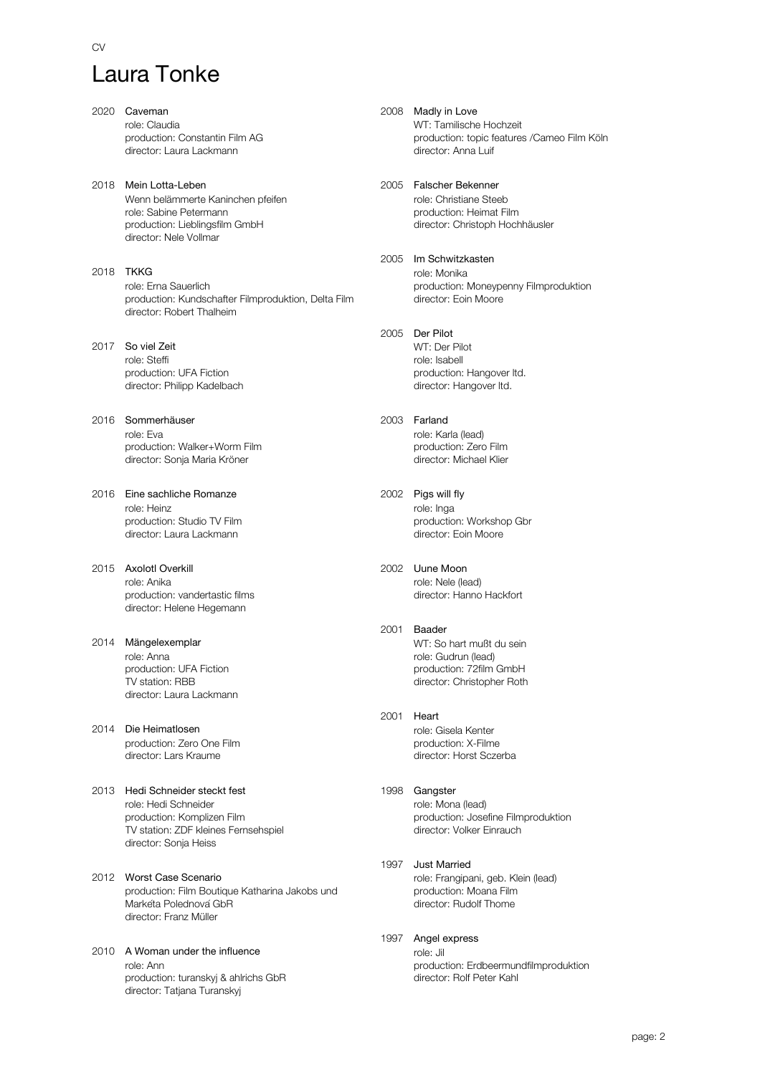# Laura Tonke

 $C<sub>N</sub>$ 

2020 Caveman role: Claudia production: Constantin Film AG director: Laura Lackmann 2018 Mein Lotta-Leben Wenn belämmerte Kaninchen pfeifen role: Sabine Petermann production: Lieblingsfilm GmbH director: Nele Vollmar 2018 TKKG role: Erna Sauerlich production: Kundschafter Filmproduktion, Delta Film director: Robert Thalheim 2017 So viel Zeit role: Steffi production: UFA Fiction director: Philipp Kadelbach 2016 Sommerhäuser role: Eva production: Walker+Worm Film director: Sonja Maria Kröner 2016 Eine sachliche Romanze role: Heinz production: Studio TV Film director: Laura Lackmann 2015 Axolotl Overkill role: Anika production: vandertastic films director: Helene Hegemann 2014 Mängelexemplar role: Anna production: UFA Fiction TV station: RBB director: Laura Lackmann 2014 Die Heimatlosen production: Zero One Film director: Lars Kraume 2013 Hedi Schneider steckt fest role: Hedi Schneider production: Komplizen Film TV station: ZDF kleines Fernsehspiel director: Sonja Heiss 2012 Worst Case Scenario production: Film Boutique Katharina Jakobs und Markéta Polednová GbR

2010 A Woman under the influence role: Ann production: turanskyj & ahlrichs GbR director: Tatjana Turanskyj

director: Franz Müller

2008 Madly in Love WT: Tamilische Hochzeit production: topic features /Cameo Film Köln director: Anna Luif 2005 Falscher Bekenner role: Christiane Steeb production: Heimat Film director: Christoph Hochhäusler 2005 Im Schwitzkasten role: Monika production: Moneypenny Filmproduktion director: Eoin Moore 2005 Der Pilot WT: Der Pilot role: Isabell production: Hangover ltd. director: Hangover ltd. 2003 Farland role: Karla (lead) production: Zero Film director: Michael Klier 2002 Pigs will fly role: Inga production: Workshop Gbr director: Eoin Moore 2002 Uune Moon role: Nele (lead) director: Hanno Hackfort 2001 Baader WT: So hart mußt du sein role: Gudrun (lead) production: 72film GmbH director: Christopher Roth 2001 Heart role: Gisela Kenter production: X-Filme director: Horst Sczerba 1998 Gangster role: Mona (lead) production: Josefine Filmproduktion director: Volker Einrauch

#### 1997 Just Married role: Frangipani, geb. Klein (lead) production: Moana Film director: Rudolf Thome

1997 Angel express role: Jil production: Erdbeermundfilmproduktion director: Rolf Peter Kahl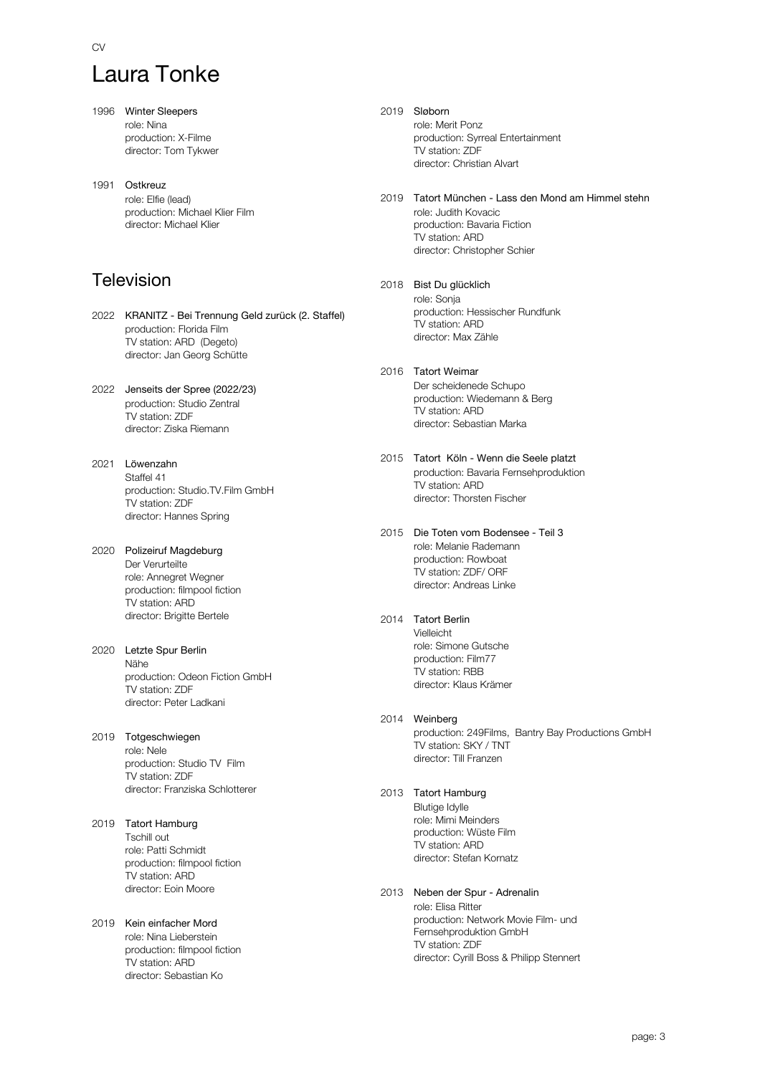# Laura Tonke

- 1996 Winter Sleepers role: Nina production: X-Filme director: Tom Tykwer
- 1991 Ostkreuz role: Elfie (lead) production: Michael Klier Film director: Michael Klier

## Television

- 2022 KRANITZ Bei Trennung Geld zurück (2. Staffel) production: Florida Film TV station: ARD (Degeto) director: Jan Georg Schütte
- 2022 Jenseits der Spree (2022/23) production: Studio Zentral TV station: ZDF director: Ziska Riemann
- 2021 Löwenzahn Staffel 41 production: Studio.TV.Film GmbH TV station: ZDF director: Hannes Spring
- 2020 Polizeiruf Magdeburg Der Verurteilte role: Annegret Wegner production: filmpool fiction TV station: ARD director: Brigitte Bertele
- 2020 Letzte Spur Berlin Nähe production: Odeon Fiction GmbH TV station: ZDF director: Peter Ladkani
- 2019 Totgeschwiegen role: Nele production: Studio TV Film TV station: ZDF director: Franziska Schlotterer
- 2019 Tatort Hamburg Tschill out role: Patti Schmidt production: filmpool fiction TV station: ARD director: Eoin Moore
- 2019 Kein einfacher Mord role: Nina Lieberstein production: filmpool fiction TV station: ARD director: Sebastian Ko
- 2019 Sløborn role: Merit Ponz production: Syrreal Entertainment TV station: ZDF director: Christian Alvart
- 2019 Tatort München Lass den Mond am Himmel stehn role: Judith Kovacic production: Bavaria Fiction TV station: ARD director: Christopher Schier
- 2018 Bist Du glücklich role: Sonja production: Hessischer Rundfunk TV station: ARD director: Max Zähle
- 2016 Tatort Weimar Der scheidenede Schupo production: Wiedemann & Berg TV station: ARD director: Sebastian Marka
- 2015 Tatort Köln Wenn die Seele platzt production: Bavaria Fernsehproduktion TV station: ARD director: Thorsten Fischer
- 2015 Die Toten vom Bodensee Teil 3 role: Melanie Rademann production: Rowboat TV station: ZDF/ ORF director: Andreas Linke
- 2014 Tatort Berlin Vielleicht role: Simone Gutsche
	- production: Film77 TV station: RBB director: Klaus Krämer
- 2014 Weinberg

production: 249Films, Bantry Bay Productions GmbH TV station: SKY / TNT director: Till Franzen

2013 Tatort Hamburg

Blutige Idylle role: Mimi Meinders production: Wüste Film TV station: ARD director: Stefan Kornatz

2013 Neben der Spur - Adrenalin

role: Elisa Ritter production: Network Movie Film- und Fernsehproduktion GmbH TV station: ZDF director: Cyrill Boss & Philipp Stennert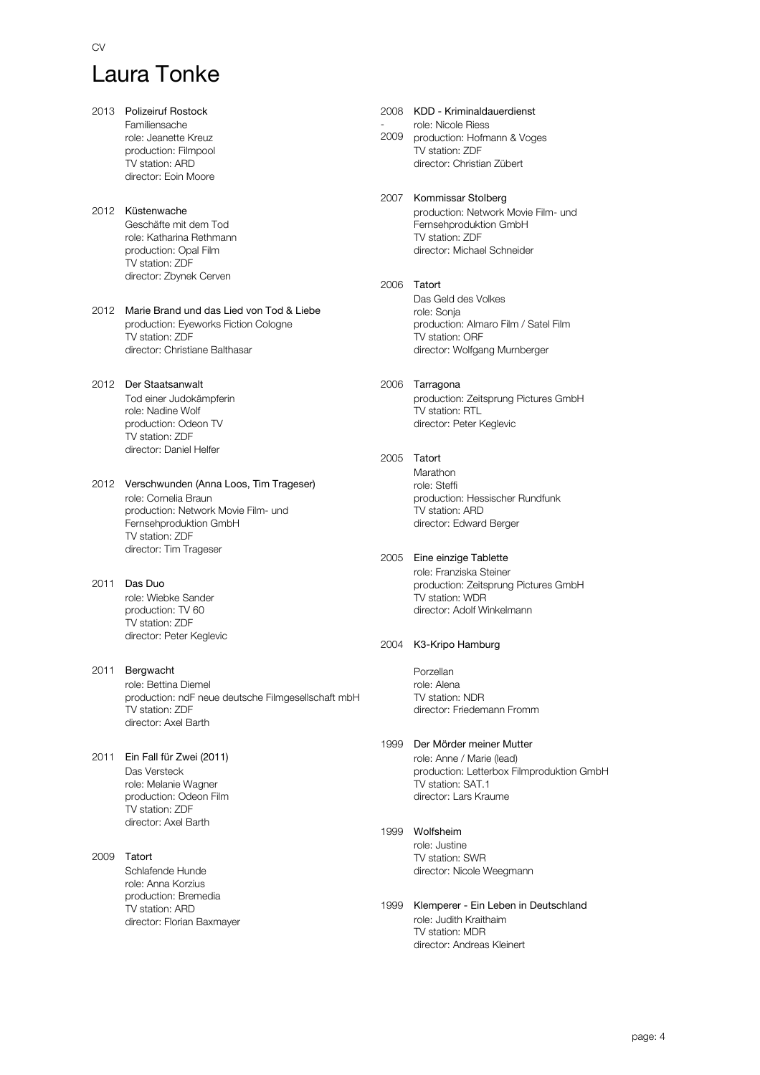# Laura Tonke

2013 Polizeiruf Rostock Familiensache role: Jeanette Kreuz production: Filmpool TV station: ARD director: Eoin Moore 2012 Küstenwache Geschäfte mit dem Tod role: Katharina Rethmann production: Opal Film TV station: ZDF director: Zbynek Cerven 2012 Marie Brand und das Lied von Tod & Liebe production: Eyeworks Fiction Cologne TV station: ZDF director: Christiane Balthasar 2012 Der Staatsanwalt Tod einer Judokämpferin role: Nadine Wolf production: Odeon TV TV station: ZDF director: Daniel Helfer 2012 Verschwunden (Anna Loos, Tim Trageser) role: Cornelia Braun production: Network Movie Film- und Fernsehproduktion GmbH TV station: ZDF director: Tim Trageser 2011 Das Duo role: Wiebke Sander production: TV 60 TV station: ZDF director: Peter Keglevic 2011 Bergwacht role: Bettina Diemel production: ndF neue deutsche Filmgesellschaft mbH TV station: ZDF director: Axel Barth 2011 Ein Fall für Zwei (2011) Das Versteck role: Melanie Wagner production: Odeon Film TV station: ZDF director: Axel Barth 2009 Tatort Schlafende Hunde role: Anna Korzius production: Bremedia TV station: ARD director: Florian Baxmayer - 2009 2005 Tatort

#### 2008 KDD - Kriminaldauerdienst role: Nicole Riess production: Hofmann & Voges TV station: ZDF director: Christian Zübert

- 2007 Kommissar Stolberg production: Network Movie Film- und Fernsehproduktion GmbH TV station: ZDF director: Michael Schneider
- 2006 Tatort Das Geld des Volkes role: Sonja production: Almaro Film / Satel Film TV station: ORF director: Wolfgang Murnberger

#### 2006 Tarragona production: Zeitsprung Pictures GmbH TV station: RTL director: Peter Keglevic

- Marathon role: Steffi production: Hessischer Rundfunk TV station: ARD director: Edward Berger
- 2005 Eine einzige Tablette role: Franziska Steiner production: Zeitsprung Pictures GmbH TV station: WDR director: Adolf Winkelmann

#### 2004 K3-Kripo Hamburg

Porzellan role: Alena TV station: NDR director: Friedemann Fromm

#### 1999 Der Mörder meiner Mutter

role: Anne / Marie (lead) production: Letterbox Filmproduktion GmbH TV station: SAT.1 director: Lars Kraume

#### 1999 Wolfsheim

role: Justine TV station: SWR director: Nicole Weegmann

1999 Klemperer - Ein Leben in Deutschland role: Judith Kraithaim TV station: MDR director: Andreas Kleinert